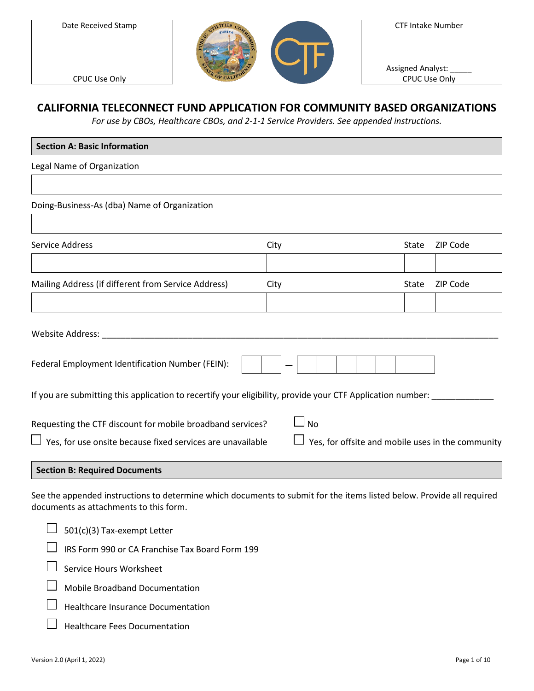Date Received Stamp



CTF Intake Number

Assigned Analyst: CPUC Use Only

CPUC Use Only

# **CALIFORNIA TELECONNECT FUND APPLICATION FOR COMMUNITY BASED ORGANIZATIONS**

*For use by CBOs, Healthcare CBOs, and 2-1-1 Service Providers. See appended instructions.*

| <b>Section A: Basic Information</b>                                                                                                                             |      |       |          |
|-----------------------------------------------------------------------------------------------------------------------------------------------------------------|------|-------|----------|
| Legal Name of Organization                                                                                                                                      |      |       |          |
|                                                                                                                                                                 |      |       |          |
| Doing-Business-As (dba) Name of Organization                                                                                                                    |      |       |          |
|                                                                                                                                                                 |      |       |          |
| <b>Service Address</b>                                                                                                                                          | City | State | ZIP Code |
|                                                                                                                                                                 |      |       |          |
| Mailing Address (if different from Service Address)                                                                                                             | City | State | ZIP Code |
|                                                                                                                                                                 |      |       |          |
|                                                                                                                                                                 |      |       |          |
| Federal Employment Identification Number (FEIN):                                                                                                                |      |       |          |
| If you are submitting this application to recertify your eligibility, provide your CTF Application number:                                                      |      |       |          |
| ⊿ No<br>Requesting the CTF discount for mobile broadband services?                                                                                              |      |       |          |
| Yes, for use onsite because fixed services are unavailable<br>Yes, for offsite and mobile uses in the community                                                 |      |       |          |
| <b>Section B: Required Documents</b>                                                                                                                            |      |       |          |
| See the appended instructions to determine which documents to submit for the items listed below. Provide all required<br>documents as attachments to this form. |      |       |          |

| $\Box$ 501(c)(3) Tax-exempt Letter                     |
|--------------------------------------------------------|
| $\Box$ IRS Form 990 or CA Franchise Tax Board Form 199 |
| Service Hours Worksheet                                |
| <b>Mobile Broadband Documentation</b>                  |
| Healthcare Insurance Documentation                     |
| <b>Healthcare Fees Documentation</b>                   |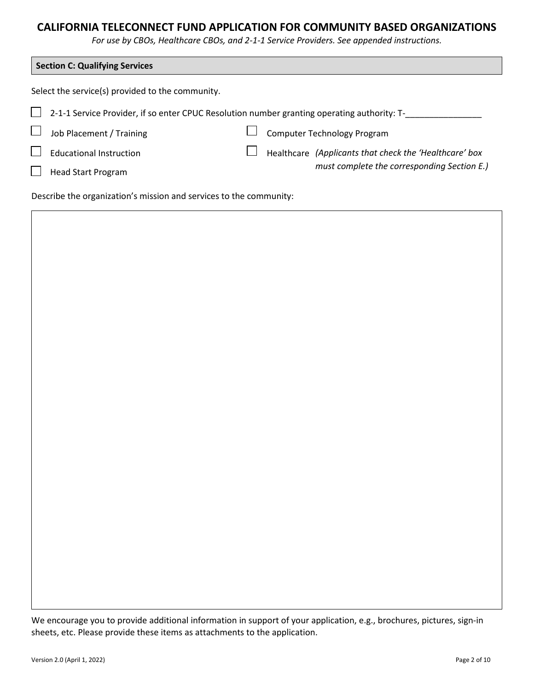*For use by CBOs, Healthcare CBOs, and 2-1-1 Service Providers. See appended instructions.*

| <b>Section C: Qualifying Services</b>                                                       |  |                                                        |  |  |
|---------------------------------------------------------------------------------------------|--|--------------------------------------------------------|--|--|
| Select the service(s) provided to the community.                                            |  |                                                        |  |  |
| 2-1-1 Service Provider, if so enter CPUC Resolution number granting operating authority: T- |  |                                                        |  |  |
| Job Placement / Training                                                                    |  | <b>Computer Technology Program</b>                     |  |  |
| <b>Educational Instruction</b>                                                              |  | Healthcare (Applicants that check the 'Healthcare' box |  |  |
| <b>Head Start Program</b>                                                                   |  | must complete the corresponding Section E.)            |  |  |
|                                                                                             |  |                                                        |  |  |

Describe the organization's mission and services to the community:



We encourage you to provide additional information in support of your application, e.g., brochures, pictures, sign-in sheets, etc. Please provide these items as attachments to the application.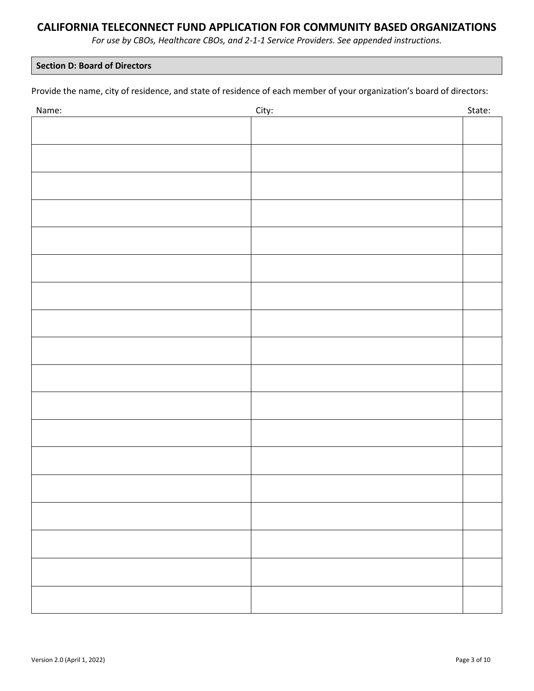*For use by CBOs, Healthcare CBOs, and 2-1-1 Service Providers. See appended instructions.*

### **Section D: Board of Directors**

Provide the name, city of residence, and state of residence of each member of your organization's board of directors:

| Name: | City: | State: |
|-------|-------|--------|
|       |       |        |
|       |       |        |
|       |       |        |
|       |       |        |
|       |       |        |
|       |       |        |
|       |       |        |
|       |       |        |
|       |       |        |
|       |       |        |
|       |       |        |
|       |       |        |
|       |       |        |
|       |       |        |
|       |       |        |
|       |       |        |
|       |       |        |
|       |       |        |
|       |       |        |
|       |       |        |
|       |       |        |
|       |       |        |
|       |       |        |
|       |       |        |
|       |       |        |
|       |       |        |
|       |       |        |
|       |       |        |
|       |       |        |
|       |       |        |
|       |       |        |
|       |       |        |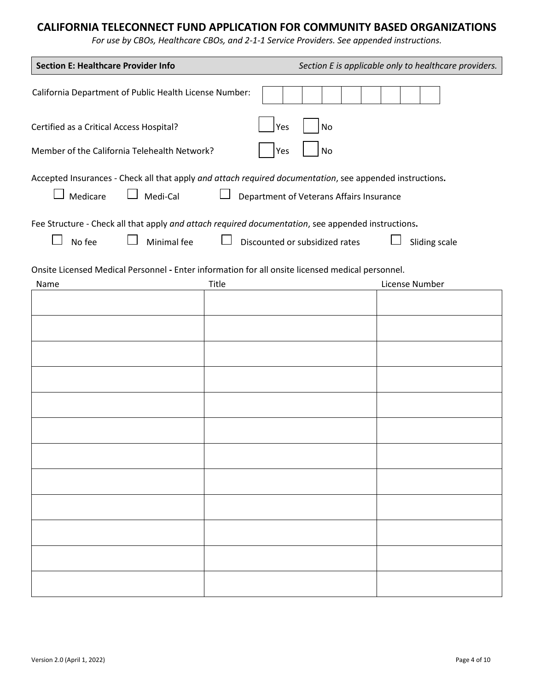*For use by CBOs, Healthcare CBOs, and 2-1-1 Service Providers. See appended instructions.*

| <b>Section E: Healthcare Provider Info</b>                                                                                                                                     | Section E is applicable only to healthcare providers.                                                                       |  |  |  |  |
|--------------------------------------------------------------------------------------------------------------------------------------------------------------------------------|-----------------------------------------------------------------------------------------------------------------------------|--|--|--|--|
| California Department of Public Health License Number:                                                                                                                         |                                                                                                                             |  |  |  |  |
| Certified as a Critical Access Hospital?<br>No<br>Yes                                                                                                                          |                                                                                                                             |  |  |  |  |
| Member of the California Telehealth Network?<br>No<br>Yes                                                                                                                      |                                                                                                                             |  |  |  |  |
| Accepted Insurances - Check all that apply and attach required documentation, see appended instructions.<br>Medi-Cal<br>Medicare<br>Department of Veterans Affairs Insurance   |                                                                                                                             |  |  |  |  |
| Fee Structure - Check all that apply and attach required documentation, see appended instructions.<br>No fee<br>Minimal fee<br>Discounted or subsidized rates<br>Sliding scale |                                                                                                                             |  |  |  |  |
| Name                                                                                                                                                                           | Onsite Licensed Medical Personnel - Enter information for all onsite licensed medical personnel.<br>Title<br>License Number |  |  |  |  |
|                                                                                                                                                                                |                                                                                                                             |  |  |  |  |
|                                                                                                                                                                                |                                                                                                                             |  |  |  |  |
|                                                                                                                                                                                |                                                                                                                             |  |  |  |  |
|                                                                                                                                                                                |                                                                                                                             |  |  |  |  |
|                                                                                                                                                                                |                                                                                                                             |  |  |  |  |
|                                                                                                                                                                                |                                                                                                                             |  |  |  |  |
|                                                                                                                                                                                |                                                                                                                             |  |  |  |  |
|                                                                                                                                                                                |                                                                                                                             |  |  |  |  |
|                                                                                                                                                                                |                                                                                                                             |  |  |  |  |
|                                                                                                                                                                                |                                                                                                                             |  |  |  |  |
|                                                                                                                                                                                |                                                                                                                             |  |  |  |  |
|                                                                                                                                                                                |                                                                                                                             |  |  |  |  |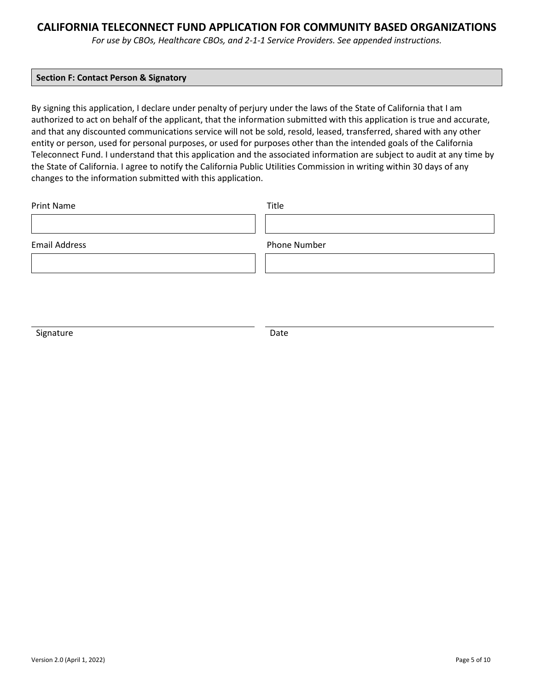*For use by CBOs, Healthcare CBOs, and 2-1-1 Service Providers. See appended instructions.*

#### **Section F: Contact Person & Signatory**

By signing this application, I declare under penalty of perjury under the laws of the State of California that I am authorized to act on behalf of the applicant, that the information submitted with this application is true and accurate, and that any discounted communications service will not be sold, resold, leased, transferred, shared with any other entity or person, used for personal purposes, or used for purposes other than the intended goals of the California Teleconnect Fund. I understand that this application and the associated information are subject to audit at any time by the State of California. I agree to notify the California Public Utilities Commission in writing within 30 days of any changes to the information submitted with this application.

| <b>Print Name</b>    | Title        |
|----------------------|--------------|
|                      |              |
| <b>Email Address</b> | Phone Number |
|                      |              |
|                      |              |

Signature Date Date Date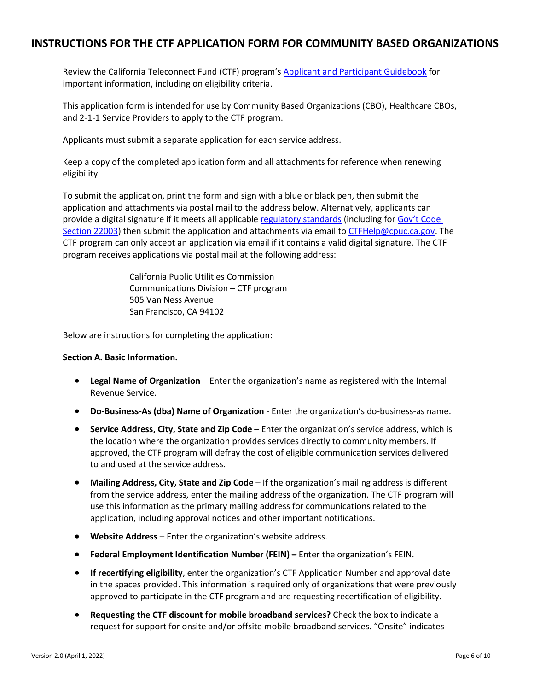## **INSTRUCTIONS FOR THE CTF APPLICATION FORM FOR COMMUNITY BASED ORGANIZATIONS**

Review the California Teleconnect Fund (CTF) program's [Applicant and Participant Guidebook](https://www.cpuc.ca.gov/-/media/cpuc-website/divisions/communications-division/documents/california-teleconnect-fund/ctf_applicant_and_participant_guidebook.pdf) for important information, including on eligibility criteria.

This application form is intended for use by Community Based Organizations (CBO), Healthcare CBOs, and 2-1-1 Service Providers to apply to the CTF program.

Applicants must submit a separate application for each service address.

Keep a copy of the completed application form and all attachments for reference when renewing eligibility.

To submit the application, print the form and sign with a blue or black pen, then submit the application and attachments via postal mail to the address below. Alternatively, applicants can provide a digital signature if it meets all applicable [regulatory standards](https://www.sos.ca.gov/administration/regulations/current-regulations/technology/digital-signatures) (including for Gov't Code [Section 22003\)](https://www.sos.ca.gov/administration/regulations/current-regulations/technology/digital-signatures#20203) then submit the application and attachments via email t[o CTFHelp@cpuc.ca.gov.](mailto:CTFHelp@cpuc.ca.gov) The CTF program can only accept an application via email if it contains a valid digital signature. The CTF program receives applications via postal mail at the following address:

> California Public Utilities Commission Communications Division – CTF program 505 Van Ness Avenue San Francisco, CA 94102

Below are instructions for completing the application:

#### **Section A. Basic Information.**

- **Legal Name of Organization** Enter the organization's name as registered with the Internal Revenue Service.
- **Do-Business-As (dba) Name of Organization**  Enter the organization's do-business-as name.
- **Service Address, City, State and Zip Code** Enter the organization's service address, which is the location where the organization provides services directly to community members. If approved, the CTF program will defray the cost of eligible communication services delivered to and used at the service address.
- **Mailing Address, City, State and Zip Code** If the organization's mailing address is different from the service address, enter the mailing address of the organization. The CTF program will use this information as the primary mailing address for communications related to the application, including approval notices and other important notifications.
- **Website Address** Enter the organization's website address.
- **Federal Employment Identification Number (FEIN) –** Enter the organization's FEIN.
- **If recertifying eligibility**, enter the organization's CTF Application Number and approval date in the spaces provided. This information is required only of organizations that were previously approved to participate in the CTF program and are requesting recertification of eligibility.
- **Requesting the CTF discount for mobile broadband services?** Check the box to indicate a request for support for onsite and/or offsite mobile broadband services. "Onsite" indicates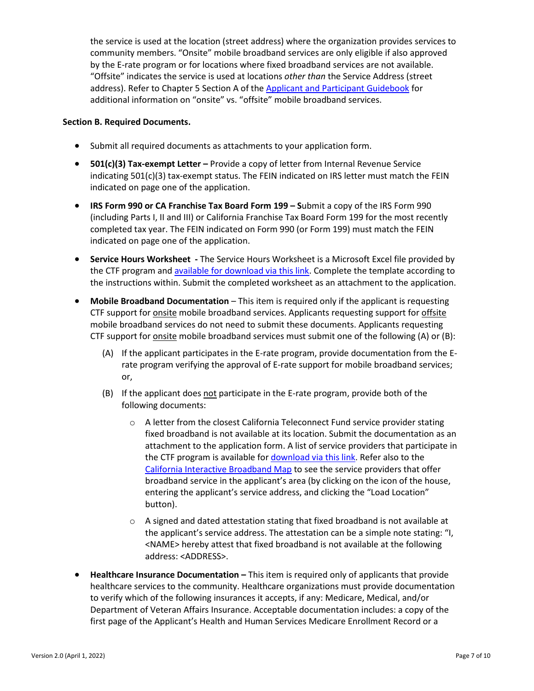the service is used at the location (street address) where the organization provides services to community members. "Onsite" mobile broadband services are only eligible if also approved by the E-rate program or for locations where fixed broadband services are not available. "Offsite" indicates the service is used at locations *other than* the Service Address (street address). Refer to Chapter 5 Section A of the [Applicant and Participant Guidebook](https://www.cpuc.ca.gov/-/media/cpuc-website/divisions/communications-division/documents/california-teleconnect-fund/ctf_applicant_and_participant_guidebook.pdf) for additional information on "onsite" vs. "offsite" mobile broadband services.

### **Section B. Required Documents.**

- Submit all required documents as attachments to your application form.
- **501(c)(3) Tax-exempt Letter –** Provide a copy of letter from Internal Revenue Service indicating  $501(c)(3)$  tax-exempt status. The FEIN indicated on IRS letter must match the FEIN indicated on page one of the application.
- **IRS Form 990 or CA Franchise Tax Board Form 199 – S**ubmit a copy of the IRS Form 990 (including Parts I, II and III) or California Franchise Tax Board Form 199 for the most recently completed tax year. The FEIN indicated on Form 990 (or Form 199) must match the FEIN indicated on page one of the application.
- **Service Hours Worksheet -** The Service Hours Worksheet is a Microsoft Excel file provided by the CTF program and [available for download via this link.](https://www.cpuc.ca.gov/-/media/cpuc-website/divisions/communications-division/documents/california-teleconnect-fund/CTF_Program_Service_Hours_Worksheet.xlsx) Complete the template according to the instructions within. Submit the completed worksheet as an attachment to the application.
- **Mobile Broadband Documentation** This item is required only if the applicant is requesting CTF support for onsite mobile broadband services. Applicants requesting support for offsite mobile broadband services do not need to submit these documents. Applicants requesting CTF support for onsite mobile broadband services must submit one of the following (A) or (B):
	- (A) If the applicant participates in the E-rate program, provide documentation from the Erate program verifying the approval of E-rate support for mobile broadband services; or,
	- (B) If the applicant does not participate in the E-rate program, provide both of the following documents:
		- o A letter from the closest California Teleconnect Fund service provider stating fixed broadband is not available at its location. Submit the documentation as an attachment to the application form. A list of service providers that participate in the CTF program is available fo[r download via this link.](https://www.cpuc.ca.gov/uploadedFiles/CPUC_Public_Website/Content/Utilities_and_Industries/Communications_-_Telecommunications_and_Broadband/Consumer_Programs/California_Teleconnect_Fund/CTF_Participating_Service_Providers.xlsx) Refer also to the [California Interactive Broadband Map](http://www.broadbandmap.ca.gov/) to see the service providers that offer broadband service in the applicant's area (by clicking on the icon of the house, entering the applicant's service address, and clicking the "Load Location" button).
		- $\circ$  A signed and dated attestation stating that fixed broadband is not available at the applicant's service address. The attestation can be a simple note stating: "I, <NAME> hereby attest that fixed broadband is not available at the following address: <ADDRESS>.
- **Healthcare Insurance Documentation –** This item is required only of applicants that provide healthcare services to the community. Healthcare organizations must provide documentation to verify which of the following insurances it accepts, if any: Medicare, Medical, and/or Department of Veteran Affairs Insurance. Acceptable documentation includes: a copy of the first page of the Applicant's Health and Human Services Medicare Enrollment Record or a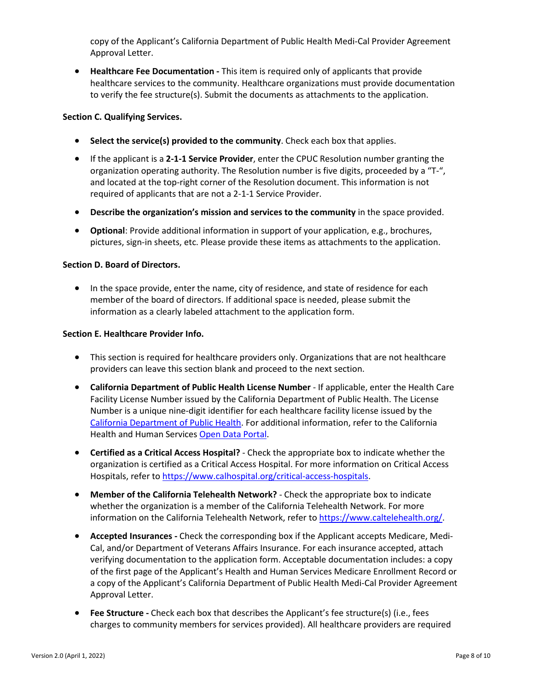copy of the Applicant's California Department of Public Health Medi-Cal Provider Agreement Approval Letter.

• **Healthcare Fee Documentation -** This item is required only of applicants that provide healthcare services to the community. Healthcare organizations must provide documentation to verify the fee structure(s). Submit the documents as attachments to the application.

### **Section C. Qualifying Services.**

- **Select the service(s) provided to the community**. Check each box that applies.
- If the applicant is a **2-1-1 Service Provider**, enter the CPUC Resolution number granting the organization operating authority. The Resolution number is five digits, proceeded by a "T-", and located at the top-right corner of the Resolution document. This information is not required of applicants that are not a 2-1-1 Service Provider.
- **Describe the organization's mission and services to the community** in the space provided.
- **Optional**: Provide additional information in support of your application, e.g., brochures, pictures, sign-in sheets, etc. Please provide these items as attachments to the application.

#### **Section D. Board of Directors.**

• In the space provide, enter the name, city of residence, and state of residence for each member of the board of directors. If additional space is needed, please submit the information as a clearly labeled attachment to the application form.

#### **Section E. Healthcare Provider Info.**

- This section is required for healthcare providers only. Organizations that are not healthcare providers can leave this section blank and proceed to the next section.
- **California Department of Public Health License Number**  If applicable, enter the Health Care Facility License Number issued by the California Department of Public Health. The License Number is a unique nine-digit identifier for each healthcare facility license issued by the [California Department of Public Health.](https://www.cdph.ca.gov/Programs/CHCQ/LCP/Pages/HealthCareFacilities.aspx) For additional information, refer to the California Health and Human Service[s Open Data Portal.](https://data.chhs.ca.gov/dataset/healthcare-facility-locations)
- **Certified as a Critical Access Hospital?** Check the appropriate box to indicate whether the organization is certified as a Critical Access Hospital. For more information on Critical Access Hospitals, refer to [https://www.calhospital.org/critical-access-hospitals.](https://www.calhospital.org/critical-access-hospitals)
- **Member of the California Telehealth Network?** Check the appropriate box to indicate whether the organization is a member of the California Telehealth Network. For more information on the California Telehealth Network, refer to [https://www.caltelehealth.org/.](https://www.caltelehealth.org/)
- **Accepted Insurances -** Check the corresponding box if the Applicant accepts Medicare, Medi-Cal, and/or Department of Veterans Affairs Insurance. For each insurance accepted, attach verifying documentation to the application form. Acceptable documentation includes: a copy of the first page of the Applicant's Health and Human Services Medicare Enrollment Record or a copy of the Applicant's California Department of Public Health Medi-Cal Provider Agreement Approval Letter.
- **Fee Structure -** Check each box that describes the Applicant's fee structure(s) (i.e., fees charges to community members for services provided). All healthcare providers are required